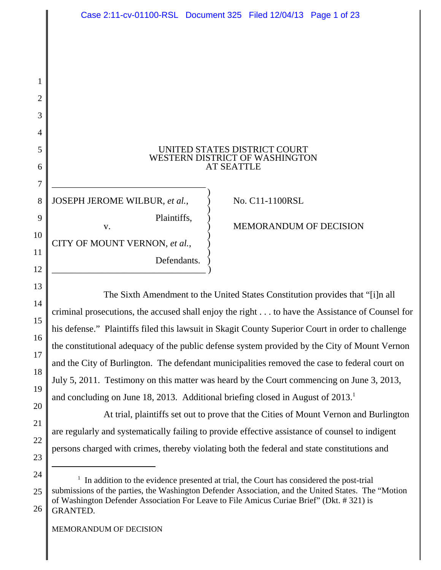| Case 2:11-cv-01100-RSL Document 325 Filed 12/04/13 Page 1 of 23                                 |                   |                                                                |  |
|-------------------------------------------------------------------------------------------------|-------------------|----------------------------------------------------------------|--|
|                                                                                                 |                   |                                                                |  |
|                                                                                                 |                   |                                                                |  |
|                                                                                                 |                   |                                                                |  |
|                                                                                                 |                   |                                                                |  |
|                                                                                                 |                   |                                                                |  |
|                                                                                                 | <b>AT SEATTLE</b> | UNITED STATES DISTRICT COURT<br>WESTERN DISTRICT OF WASHINGTON |  |
| JOSEPH JEROME WILBUR, et al.,                                                                   |                   | No. C11-1100RSL                                                |  |
| Plaintiffs,<br>V.                                                                               |                   | MEMORANDUM OF DECISION                                         |  |
| CITY OF MOUNT VERNON, et al.,                                                                   |                   |                                                                |  |
| Defendants.                                                                                     |                   |                                                                |  |
| The Sixth Amendment to the United States Constitution provides that "[i]n all                   |                   |                                                                |  |
| criminal prosecutions, the accused shall enjoy the right to have the Assistance of Counse       |                   |                                                                |  |
| his defense." Plaintiffs filed this lawsuit in Skagit County Superior Court in order to challer |                   |                                                                |  |
| the constitutional adequacy of the public defense system provided by the City of Mount Ver      |                   |                                                                |  |
| and the City of Burlington. The defendant municipalities removed the case to federal court      |                   |                                                                |  |

criminal prosecutions, the accused shall enjoy the right . . . to have the Assistance of Counsel for his defense." Plaintiffs filed this lawsuit in Skagit County Superior Court in order to challenge the constitutional adequacy of the public defense system provided by the City of Mount Vernon and the City of Burlington. The defendant municipalities removed the case to federal court on July 5, 2011. Testimony on this matter was heard by the Court commencing on June 3, 2013, and concluding on June 18, 2013. Additional briefing closed in August of  $2013<sup>1</sup>$ 

At trial, plaintiffs set out to prove that the Cities of Mount Vernon and Burlington are regularly and systematically failing to provide effective assistance of counsel to indigent persons charged with crimes, thereby violating both the federal and state constitutions and

1

2

3

4

5

6

7

8

9

10

11

12

13

14

15

16

17

18

19

20

21

22

<sup>24</sup> 25 26 <sup>1</sup> In addition to the evidence presented at trial, the Court has considered the post-trial submissions of the parties, the Washington Defender Association, and the United States. The "Motion of Washington Defender Association For Leave to File Amicus Curiae Brief" (Dkt. # 321) is GRANTED.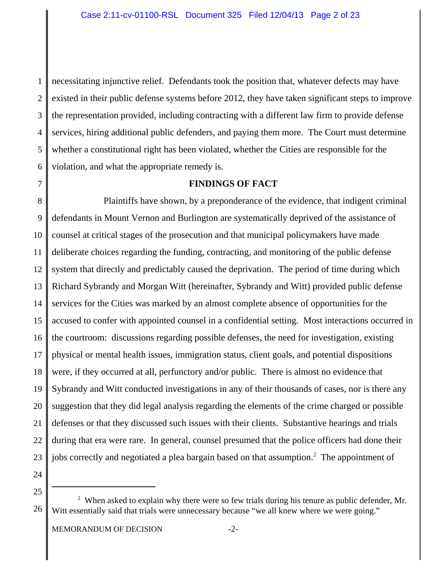1 2 3 4 5 6 necessitating injunctive relief. Defendants took the position that, whatever defects may have existed in their public defense systems before 2012, they have taken significant steps to improve the representation provided, including contracting with a different law firm to provide defense services, hiring additional public defenders, and paying them more. The Court must determine whether a constitutional right has been violated, whether the Cities are responsible for the violation, and what the appropriate remedy is.

7

## **FINDINGS OF FACT**

8 9 10 11 12 13 14 15 16 17 18 19 20 21 22 23 Plaintiffs have shown, by a preponderance of the evidence, that indigent criminal defendants in Mount Vernon and Burlington are systematically deprived of the assistance of counsel at critical stages of the prosecution and that municipal policymakers have made deliberate choices regarding the funding, contracting, and monitoring of the public defense system that directly and predictably caused the deprivation. The period of time during which Richard Sybrandy and Morgan Witt (hereinafter, Sybrandy and Witt) provided public defense services for the Cities was marked by an almost complete absence of opportunities for the accused to confer with appointed counsel in a confidential setting. Most interactions occurred in the courtroom: discussions regarding possible defenses, the need for investigation, existing physical or mental health issues, immigration status, client goals, and potential dispositions were, if they occurred at all, perfunctory and/or public. There is almost no evidence that Sybrandy and Witt conducted investigations in any of their thousands of cases, nor is there any suggestion that they did legal analysis regarding the elements of the crime charged or possible defenses or that they discussed such issues with their clients. Substantive hearings and trials during that era were rare. In general, counsel presumed that the police officers had done their jobs correctly and negotiated a plea bargain based on that assumption.<sup>2</sup> The appointment of

<sup>26</sup> <sup>2</sup> When asked to explain why there were so few trials during his tenure as public defender, Mr. Witt essentially said that trials were unnecessary because "we all knew where we were going."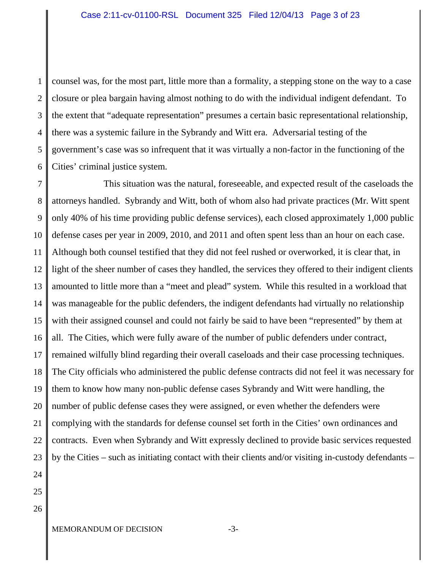1 2 3 4 5 6 counsel was, for the most part, little more than a formality, a stepping stone on the way to a case closure or plea bargain having almost nothing to do with the individual indigent defendant. To the extent that "adequate representation" presumes a certain basic representational relationship, there was a systemic failure in the Sybrandy and Witt era. Adversarial testing of the government's case was so infrequent that it was virtually a non-factor in the functioning of the Cities' criminal justice system.

7 8 9 10 11 12 13 14 15 16 17 18 19 20 21 22 23 This situation was the natural, foreseeable, and expected result of the caseloads the attorneys handled. Sybrandy and Witt, both of whom also had private practices (Mr. Witt spent only 40% of his time providing public defense services), each closed approximately 1,000 public defense cases per year in 2009, 2010, and 2011 and often spent less than an hour on each case. Although both counsel testified that they did not feel rushed or overworked, it is clear that, in light of the sheer number of cases they handled, the services they offered to their indigent clients amounted to little more than a "meet and plead" system. While this resulted in a workload that was manageable for the public defenders, the indigent defendants had virtually no relationship with their assigned counsel and could not fairly be said to have been "represented" by them at all. The Cities, which were fully aware of the number of public defenders under contract, remained wilfully blind regarding their overall caseloads and their case processing techniques. The City officials who administered the public defense contracts did not feel it was necessary for them to know how many non-public defense cases Sybrandy and Witt were handling, the number of public defense cases they were assigned, or even whether the defenders were complying with the standards for defense counsel set forth in the Cities' own ordinances and contracts. Even when Sybrandy and Witt expressly declined to provide basic services requested by the Cities – such as initiating contact with their clients and/or visiting in-custody defendants –

- 24 25
- 26

MEMORANDUM OF DECISION -3-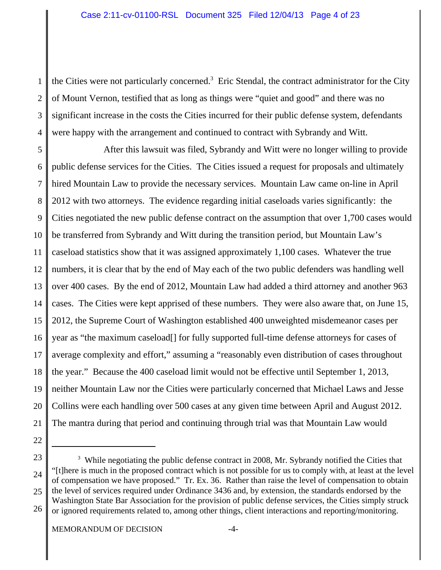1 2 3 4 the Cities were not particularly concerned.<sup>3</sup> Eric Stendal, the contract administrator for the City of Mount Vernon, testified that as long as things were "quiet and good" and there was no significant increase in the costs the Cities incurred for their public defense system, defendants were happy with the arrangement and continued to contract with Sybrandy and Witt.

5 6 7 8 9 10 11 12 13 14 15 16 17 18 19 20 21 After this lawsuit was filed, Sybrandy and Witt were no longer willing to provide public defense services for the Cities. The Cities issued a request for proposals and ultimately hired Mountain Law to provide the necessary services. Mountain Law came on-line in April 2012 with two attorneys. The evidence regarding initial caseloads varies significantly: the Cities negotiated the new public defense contract on the assumption that over 1,700 cases would be transferred from Sybrandy and Witt during the transition period, but Mountain Law's caseload statistics show that it was assigned approximately 1,100 cases. Whatever the true numbers, it is clear that by the end of May each of the two public defenders was handling well over 400 cases. By the end of 2012, Mountain Law had added a third attorney and another 963 cases. The Cities were kept apprised of these numbers. They were also aware that, on June 15, 2012, the Supreme Court of Washington established 400 unweighted misdemeanor cases per year as "the maximum caseload[] for fully supported full-time defense attorneys for cases of average complexity and effort," assuming a "reasonably even distribution of cases throughout the year." Because the 400 caseload limit would not be effective until September 1, 2013, neither Mountain Law nor the Cities were particularly concerned that Michael Laws and Jesse Collins were each handling over 500 cases at any given time between April and August 2012. The mantra during that period and continuing through trial was that Mountain Law would

- 22
- 23

<sup>24</sup> 25  $3$  While negotiating the public defense contract in 2008, Mr. Sybrandy notified the Cities that "[t]here is much in the proposed contract which is not possible for us to comply with, at least at the level of compensation we have proposed." Tr. Ex. 36. Rather than raise the level of compensation to obtain the level of services required under Ordinance 3436 and, by extension, the standards endorsed by the Washington State Bar Association for the provision of public defense services, the Cities simply struck

<sup>26</sup> or ignored requirements related to, among other things, client interactions and reporting/monitoring.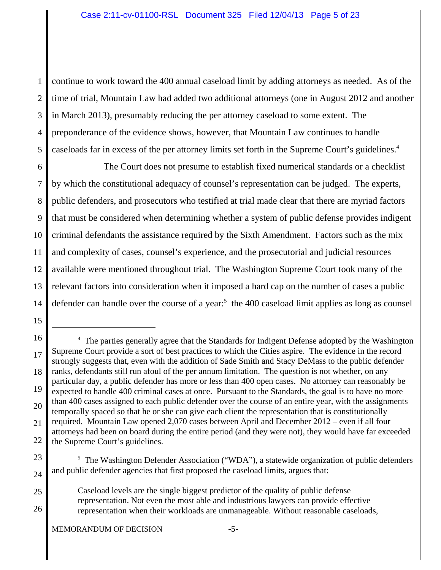1 2 3 4 5 continue to work toward the 400 annual caseload limit by adding attorneys as needed. As of the time of trial, Mountain Law had added two additional attorneys (one in August 2012 and another in March 2013), presumably reducing the per attorney caseload to some extent. The preponderance of the evidence shows, however, that Mountain Law continues to handle caseloads far in excess of the per attorney limits set forth in the Supreme Court's guidelines.<sup>4</sup>

6 7 8 9 10 11 12 13 14 The Court does not presume to establish fixed numerical standards or a checklist by which the constitutional adequacy of counsel's representation can be judged. The experts, public defenders, and prosecutors who testified at trial made clear that there are myriad factors that must be considered when determining whether a system of public defense provides indigent criminal defendants the assistance required by the Sixth Amendment. Factors such as the mix and complexity of cases, counsel's experience, and the prosecutorial and judicial resources available were mentioned throughout trial. The Washington Supreme Court took many of the relevant factors into consideration when it imposed a hard cap on the number of cases a public defender can handle over the course of a year:<sup>5</sup> the 400 caseload limit applies as long as counsel

25 26 Caseload levels are the single biggest predictor of the quality of public defense representation. Not even the most able and industrious lawyers can provide effective representation when their workloads are unmanageable. Without reasonable caseloads,

<sup>16</sup> 17 18 19 20 21 22 <sup>4</sup> The parties generally agree that the Standards for Indigent Defense adopted by the Washington Supreme Court provide a sort of best practices to which the Cities aspire. The evidence in the record strongly suggests that, even with the addition of Sade Smith and Stacy DeMass to the public defender ranks, defendants still run afoul of the per annum limitation. The question is not whether, on any particular day, a public defender has more or less than 400 open cases. No attorney can reasonably be expected to handle 400 criminal cases at once. Pursuant to the Standards, the goal is to have no more than 400 cases assigned to each public defender over the course of an entire year, with the assignments temporally spaced so that he or she can give each client the representation that is constitutionally required. Mountain Law opened 2,070 cases between April and December 2012 – even if all four attorneys had been on board during the entire period (and they were not), they would have far exceeded the Supreme Court's guidelines.

<sup>23</sup> 24 <sup>5</sup> The Washington Defender Association ("WDA"), a statewide organization of public defenders and public defender agencies that first proposed the caseload limits, argues that: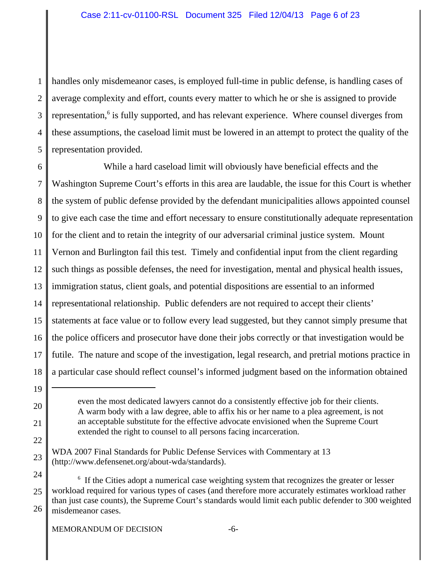1 2 3 4 5 handles only misdemeanor cases, is employed full-time in public defense, is handling cases of average complexity and effort, counts every matter to which he or she is assigned to provide representation,<sup>6</sup> is fully supported, and has relevant experience. Where counsel diverges from these assumptions, the caseload limit must be lowered in an attempt to protect the quality of the representation provided.

6 7 8 9 10 11 12 13 14 15 16 17 18 While a hard caseload limit will obviously have beneficial effects and the Washington Supreme Court's efforts in this area are laudable, the issue for this Court is whether the system of public defense provided by the defendant municipalities allows appointed counsel to give each case the time and effort necessary to ensure constitutionally adequate representation for the client and to retain the integrity of our adversarial criminal justice system. Mount Vernon and Burlington fail this test. Timely and confidential input from the client regarding such things as possible defenses, the need for investigation, mental and physical health issues, immigration status, client goals, and potential dispositions are essential to an informed representational relationship. Public defenders are not required to accept their clients' statements at face value or to follow every lead suggested, but they cannot simply presume that the police officers and prosecutor have done their jobs correctly or that investigation would be futile. The nature and scope of the investigation, legal research, and pretrial motions practice in a particular case should reflect counsel's informed judgment based on the information obtained

19

20

21

22

23

even the most dedicated lawyers cannot do a consistently effective job for their clients. A warm body with a law degree, able to affix his or her name to a plea agreement, is not an acceptable substitute for the effective advocate envisioned when the Supreme Court extended the right to counsel to all persons facing incarceration.

WDA 2007 Final Standards for Public Defense Services with Commentary at 13 (http://www.defensenet.org/about-wda/standards).

<sup>24</sup> 25 26 <sup>6</sup> If the Cities adopt a numerical case weighting system that recognizes the greater or lesser workload required for various types of cases (and therefore more accurately estimates workload rather than just case counts), the Supreme Court's standards would limit each public defender to 300 weighted misdemeanor cases.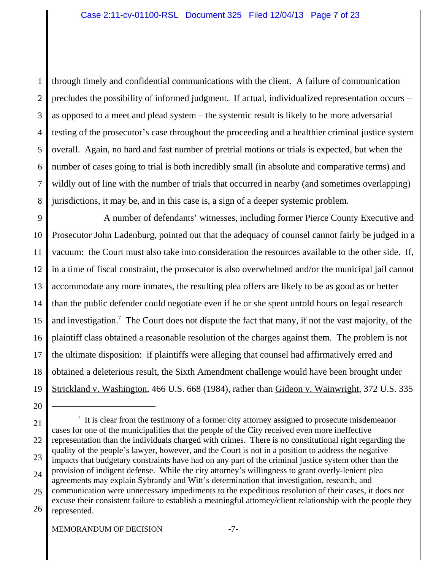1 2 3 4 5 6 7 8 through timely and confidential communications with the client. A failure of communication precludes the possibility of informed judgment. If actual, individualized representation occurs – as opposed to a meet and plead system – the systemic result is likely to be more adversarial testing of the prosecutor's case throughout the proceeding and a healthier criminal justice system overall. Again, no hard and fast number of pretrial motions or trials is expected, but when the number of cases going to trial is both incredibly small (in absolute and comparative terms) and wildly out of line with the number of trials that occurred in nearby (and sometimes overlapping) jurisdictions, it may be, and in this case is, a sign of a deeper systemic problem.

9 10 11 12 13 14 15 16 17 18 19 A number of defendants' witnesses, including former Pierce County Executive and Prosecutor John Ladenburg, pointed out that the adequacy of counsel cannot fairly be judged in a vacuum: the Court must also take into consideration the resources available to the other side. If, in a time of fiscal constraint, the prosecutor is also overwhelmed and/or the municipal jail cannot accommodate any more inmates, the resulting plea offers are likely to be as good as or better than the public defender could negotiate even if he or she spent untold hours on legal research and investigation.<sup>7</sup> The Court does not dispute the fact that many, if not the vast majority, of the plaintiff class obtained a reasonable resolution of the charges against them. The problem is not the ultimate disposition: if plaintiffs were alleging that counsel had affirmatively erred and obtained a deleterious result, the Sixth Amendment challenge would have been brought under Strickland v. Washington, 466 U.S. 668 (1984), rather than Gideon v. Wainwright, 372 U.S. 335

<sup>20</sup>

<sup>21</sup> 22 23 24 25 26  $<sup>7</sup>$  It is clear from the testimony of a former city attorney assigned to prosecute misdemeanor</sup> cases for one of the municipalities that the people of the City received even more ineffective representation than the individuals charged with crimes. There is no constitutional right regarding the quality of the people's lawyer, however, and the Court is not in a position to address the negative impacts that budgetary constraints have had on any part of the criminal justice system other than the provision of indigent defense. While the city attorney's willingness to grant overly-lenient plea agreements may explain Sybrandy and Witt's determination that investigation, research, and communication were unnecessary impediments to the expeditious resolution of their cases, it does not excuse their consistent failure to establish a meaningful attorney/client relationship with the people they represented.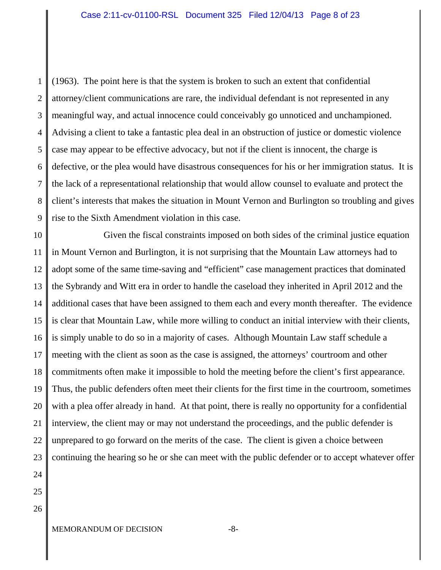1 2 3 4 5 6 7 8 9 (1963). The point here is that the system is broken to such an extent that confidential attorney/client communications are rare, the individual defendant is not represented in any meaningful way, and actual innocence could conceivably go unnoticed and unchampioned. Advising a client to take a fantastic plea deal in an obstruction of justice or domestic violence case may appear to be effective advocacy, but not if the client is innocent, the charge is defective, or the plea would have disastrous consequences for his or her immigration status. It is the lack of a representational relationship that would allow counsel to evaluate and protect the client's interests that makes the situation in Mount Vernon and Burlington so troubling and gives rise to the Sixth Amendment violation in this case.

10 11 12 13 14 15 16 17 18 19 20 21 22 23 24 Given the fiscal constraints imposed on both sides of the criminal justice equation in Mount Vernon and Burlington, it is not surprising that the Mountain Law attorneys had to adopt some of the same time-saving and "efficient" case management practices that dominated the Sybrandy and Witt era in order to handle the caseload they inherited in April 2012 and the additional cases that have been assigned to them each and every month thereafter. The evidence is clear that Mountain Law, while more willing to conduct an initial interview with their clients, is simply unable to do so in a majority of cases. Although Mountain Law staff schedule a meeting with the client as soon as the case is assigned, the attorneys' courtroom and other commitments often make it impossible to hold the meeting before the client's first appearance. Thus, the public defenders often meet their clients for the first time in the courtroom, sometimes with a plea offer already in hand. At that point, there is really no opportunity for a confidential interview, the client may or may not understand the proceedings, and the public defender is unprepared to go forward on the merits of the case. The client is given a choice between continuing the hearing so he or she can meet with the public defender or to accept whatever offer

- 25
- 26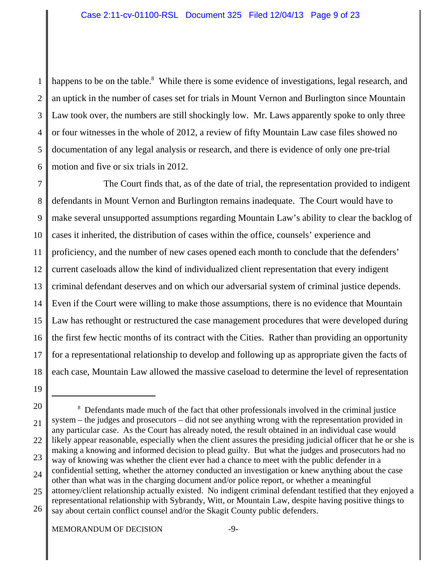1 2 3 4 5 6 happens to be on the table.<sup>8</sup> While there is some evidence of investigations, legal research, and an uptick in the number of cases set for trials in Mount Vernon and Burlington since Mountain Law took over, the numbers are still shockingly low. Mr. Laws apparently spoke to only three or four witnesses in the whole of 2012, a review of fifty Mountain Law case files showed no documentation of any legal analysis or research, and there is evidence of only one pre-trial motion and five or six trials in 2012.

7 8 9 10 11 12 13 14 15 16 17 18 The Court finds that, as of the date of trial, the representation provided to indigent defendants in Mount Vernon and Burlington remains inadequate. The Court would have to make several unsupported assumptions regarding Mountain Law's ability to clear the backlog of cases it inherited, the distribution of cases within the office, counsels' experience and proficiency, and the number of new cases opened each month to conclude that the defenders' current caseloads allow the kind of individualized client representation that every indigent criminal defendant deserves and on which our adversarial system of criminal justice depends. Even if the Court were willing to make those assumptions, there is no evidence that Mountain Law has rethought or restructured the case management procedures that were developed during the first few hectic months of its contract with the Cities. Rather than providing an opportunity for a representational relationship to develop and following up as appropriate given the facts of each case, Mountain Law allowed the massive caseload to determine the level of representation

<sup>20</sup> 21 22 23 24 25 <sup>8</sup> Defendants made much of the fact that other professionals involved in the criminal justice system – the judges and prosecutors – did not see anything wrong with the representation provided in any particular case. As the Court has already noted, the result obtained in an individual case would likely appear reasonable, especially when the client assures the presiding judicial officer that he or she is making a knowing and informed decision to plead guilty. But what the judges and prosecutors had no way of knowing was whether the client ever had a chance to meet with the public defender in a confidential setting, whether the attorney conducted an investigation or knew anything about the case other than what was in the charging document and/or police report, or whether a meaningful attorney/client relationship actually existed. No indigent criminal defendant testified that they enjoyed a representational relationship with Sybrandy, Witt, or Mountain Law, despite having positive things to

<sup>26</sup> say about certain conflict counsel and/or the Skagit County public defenders.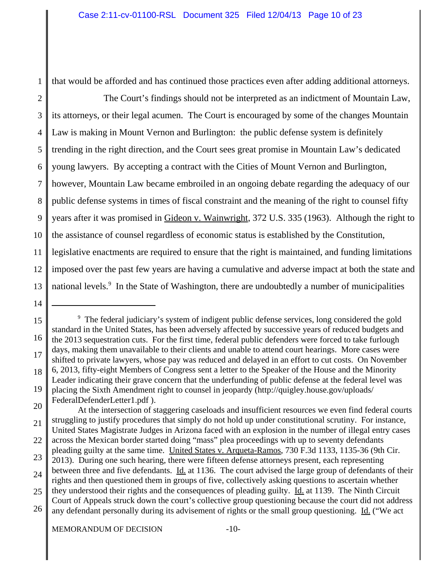that would be afforded and has continued those practices even after adding additional attorneys.

2 3 4 5 6 7 8 9 10 11 12 13 The Court's findings should not be interpreted as an indictment of Mountain Law, its attorneys, or their legal acumen. The Court is encouraged by some of the changes Mountain Law is making in Mount Vernon and Burlington: the public defense system is definitely trending in the right direction, and the Court sees great promise in Mountain Law's dedicated young lawyers. By accepting a contract with the Cities of Mount Vernon and Burlington, however, Mountain Law became embroiled in an ongoing debate regarding the adequacy of our public defense systems in times of fiscal constraint and the meaning of the right to counsel fifty years after it was promised in Gideon v. Wainwright, 372 U.S. 335 (1963). Although the right to the assistance of counsel regardless of economic status is established by the Constitution, legislative enactments are required to ensure that the right is maintained, and funding limitations imposed over the past few years are having a cumulative and adverse impact at both the state and national levels.<sup>9</sup> In the State of Washington, there are undoubtedly a number of municipalities

14

- FederalDefenderLetter1.pdf ).
- 20 21 At the intersection of staggering caseloads and insufficient resources we even find federal courts struggling to justify procedures that simply do not hold up under constitutional scrutiny. For instance, United States Magistrate Judges in Arizona faced with an explosion in the number of illegal entry cases

<sup>15</sup> 16 17 18 19 <sup>9</sup> The federal judiciary's system of indigent public defense services, long considered the gold standard in the United States, has been adversely affected by successive years of reduced budgets and the 2013 sequestration cuts. For the first time, federal public defenders were forced to take furlough days, making them unavailable to their clients and unable to attend court hearings. More cases were shifted to private lawyers, whose pay was reduced and delayed in an effort to cut costs. On November 6, 2013, fifty-eight Members of Congress sent a letter to the Speaker of the House and the Minority Leader indicating their grave concern that the underfunding of public defense at the federal level was placing the Sixth Amendment right to counsel in jeopardy (http://quigley.house.gov/uploads/

<sup>22</sup> across the Mexican border started doing "mass" plea proceedings with up to seventy defendants pleading guilty at the same time. United States v. Arqueta-Ramos, 730 F.3d 1133, 1135-36 (9th Cir.

<sup>23</sup> 24 2013). During one such hearing, there were fifteen defense attorneys present, each representing between three and five defendants. Id. at 1136. The court advised the large group of defendants of their rights and then questioned them in groups of five, collectively asking questions to ascertain whether

<sup>25</sup> they understood their rights and the consequences of pleading guilty. Id. at 1139. The Ninth Circuit

<sup>26</sup> Court of Appeals struck down the court's collective group questioning because the court did not address any defendant personally during its advisement of rights or the small group questioning. Id. ("We act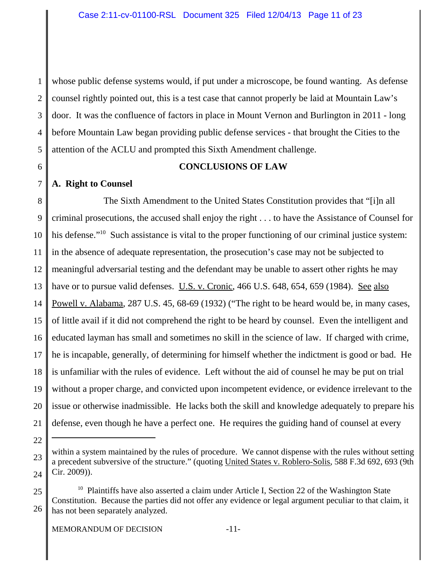1 2 3 4 5 whose public defense systems would, if put under a microscope, be found wanting. As defense counsel rightly pointed out, this is a test case that cannot properly be laid at Mountain Law's door. It was the confluence of factors in place in Mount Vernon and Burlington in 2011 - long before Mountain Law began providing public defense services - that brought the Cities to the attention of the ACLU and prompted this Sixth Amendment challenge.

6

## **CONCLUSIONS OF LAW**

7 **A. Right to Counsel**

8 9 10 11 12 13 14 15 16 17 18 19 20 21 The Sixth Amendment to the United States Constitution provides that "[i]n all criminal prosecutions, the accused shall enjoy the right . . . to have the Assistance of Counsel for his defense."<sup>10</sup> Such assistance is vital to the proper functioning of our criminal justice system: in the absence of adequate representation, the prosecution's case may not be subjected to meaningful adversarial testing and the defendant may be unable to assert other rights he may have or to pursue valid defenses. U.S. v. Cronic, 466 U.S. 648, 654, 659 (1984). See also Powell v. Alabama, 287 U.S. 45, 68-69 (1932) ("The right to be heard would be, in many cases, of little avail if it did not comprehend the right to be heard by counsel. Even the intelligent and educated layman has small and sometimes no skill in the science of law. If charged with crime, he is incapable, generally, of determining for himself whether the indictment is good or bad. He is unfamiliar with the rules of evidence. Left without the aid of counsel he may be put on trial without a proper charge, and convicted upon incompetent evidence, or evidence irrelevant to the issue or otherwise inadmissible. He lacks both the skill and knowledge adequately to prepare his defense, even though he have a perfect one. He requires the guiding hand of counsel at every

<sup>23</sup> 24

within a system maintained by the rules of procedure. We cannot dispense with the rules without setting a precedent subversive of the structure." (quoting United States v. Roblero-Solis, 588 F.3d 692, 693 (9th Cir. 2009)).

<sup>25</sup> 26  $10$  Plaintiffs have also asserted a claim under Article I, Section 22 of the Washington State Constitution. Because the parties did not offer any evidence or legal argument peculiar to that claim, it has not been separately analyzed.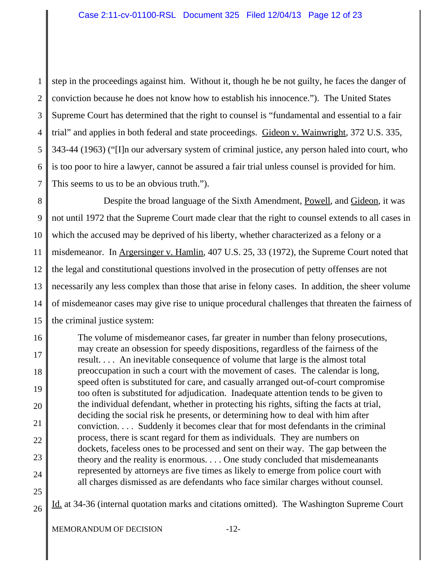1 2 3 4 5 6 7 step in the proceedings against him. Without it, though he be not guilty, he faces the danger of conviction because he does not know how to establish his innocence."). The United States Supreme Court has determined that the right to counsel is "fundamental and essential to a fair trial" and applies in both federal and state proceedings. Gideon v. Wainwright, 372 U.S. 335, 343-44 (1963) ("[I]n our adversary system of criminal justice, any person haled into court, who is too poor to hire a lawyer, cannot be assured a fair trial unless counsel is provided for him. This seems to us to be an obvious truth.").

8 9 10 11 12 13 14 15 Despite the broad language of the Sixth Amendment, Powell, and Gideon, it was not until 1972 that the Supreme Court made clear that the right to counsel extends to all cases in which the accused may be deprived of his liberty, whether characterized as a felony or a misdemeanor. In Argersinger v. Hamlin, 407 U.S. 25, 33 (1972), the Supreme Court noted that the legal and constitutional questions involved in the prosecution of petty offenses are not necessarily any less complex than those that arise in felony cases. In addition, the sheer volume of misdemeanor cases may give rise to unique procedural challenges that threaten the fairness of the criminal justice system:

16 17 18 19 20 21 22 23 24 The volume of misdemeanor cases, far greater in number than felony prosecutions, may create an obsession for speedy dispositions, regardless of the fairness of the result. . . . An inevitable consequence of volume that large is the almost total preoccupation in such a court with the movement of cases. The calendar is long, speed often is substituted for care, and casually arranged out-of-court compromise too often is substituted for adjudication. Inadequate attention tends to be given to the individual defendant, whether in protecting his rights, sifting the facts at trial, deciding the social risk he presents, or determining how to deal with him after conviction. . . . Suddenly it becomes clear that for most defendants in the criminal process, there is scant regard for them as individuals. They are numbers on dockets, faceless ones to be processed and sent on their way. The gap between the theory and the reality is enormous. . . . One study concluded that misdemeanants represented by attorneys are five times as likely to emerge from police court with all charges dismissed as are defendants who face similar charges without counsel.

25

26

Id. at 34-36 (internal quotation marks and citations omitted). The Washington Supreme Court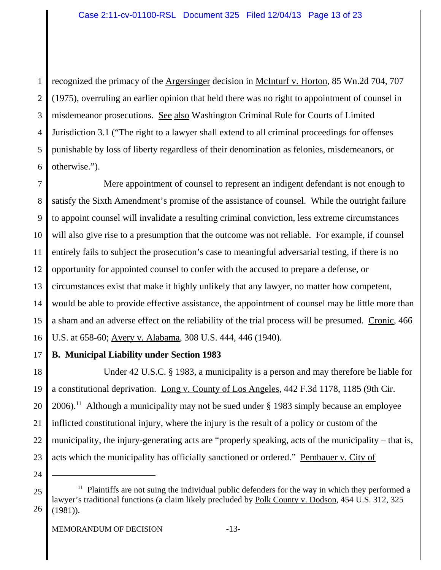1 2 3 4 5 6 recognized the primacy of the Argersinger decision in McInturf v. Horton, 85 Wn.2d 704, 707 (1975), overruling an earlier opinion that held there was no right to appointment of counsel in misdemeanor prosecutions. See also Washington Criminal Rule for Courts of Limited Jurisdiction 3.1 ("The right to a lawyer shall extend to all criminal proceedings for offenses punishable by loss of liberty regardless of their denomination as felonies, misdemeanors, or otherwise.").

7 8 9 10 11 12 13 14 15 16 Mere appointment of counsel to represent an indigent defendant is not enough to satisfy the Sixth Amendment's promise of the assistance of counsel. While the outright failure to appoint counsel will invalidate a resulting criminal conviction, less extreme circumstances will also give rise to a presumption that the outcome was not reliable. For example, if counsel entirely fails to subject the prosecution's case to meaningful adversarial testing, if there is no opportunity for appointed counsel to confer with the accused to prepare a defense, or circumstances exist that make it highly unlikely that any lawyer, no matter how competent, would be able to provide effective assistance, the appointment of counsel may be little more than a sham and an adverse effect on the reliability of the trial process will be presumed. Cronic, 466 U.S. at 658-60; Avery v. Alabama, 308 U.S. 444, 446 (1940).

17

## **B. Municipal Liability under Section 1983**

18 19 20 21 22 23 Under 42 U.S.C. § 1983, a municipality is a person and may therefore be liable for a constitutional deprivation. Long v. County of Los Angeles, 442 F.3d 1178, 1185 (9th Cir.  $2006$ <sup>11</sup> Although a municipality may not be sued under § 1983 simply because an employee inflicted constitutional injury, where the injury is the result of a policy or custom of the municipality, the injury-generating acts are "properly speaking, acts of the municipality – that is, acts which the municipality has officially sanctioned or ordered." Pembauer v. City of

<sup>25</sup> 26  $11$  Plaintiffs are not suing the individual public defenders for the way in which they performed a lawyer's traditional functions (a claim likely precluded by Polk County v. Dodson, 454 U.S. 312, 325 (1981)).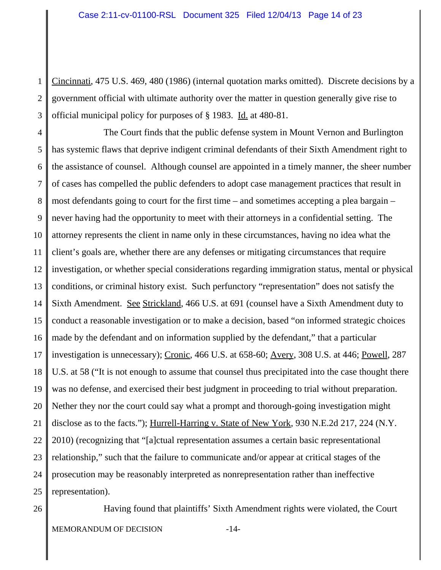1 2 3 Cincinnati, 475 U.S. 469, 480 (1986) (internal quotation marks omitted). Discrete decisions by a government official with ultimate authority over the matter in question generally give rise to official municipal policy for purposes of § 1983. Id. at 480-81.

4 5 6 7 8 9 10 11 12 13 14 15 16 17 18 19 20 21 22 23 24 25 The Court finds that the public defense system in Mount Vernon and Burlington has systemic flaws that deprive indigent criminal defendants of their Sixth Amendment right to the assistance of counsel. Although counsel are appointed in a timely manner, the sheer number of cases has compelled the public defenders to adopt case management practices that result in most defendants going to court for the first time – and sometimes accepting a plea bargain – never having had the opportunity to meet with their attorneys in a confidential setting. The attorney represents the client in name only in these circumstances, having no idea what the client's goals are, whether there are any defenses or mitigating circumstances that require investigation, or whether special considerations regarding immigration status, mental or physical conditions, or criminal history exist. Such perfunctory "representation" does not satisfy the Sixth Amendment. See Strickland, 466 U.S. at 691 (counsel have a Sixth Amendment duty to conduct a reasonable investigation or to make a decision, based "on informed strategic choices made by the defendant and on information supplied by the defendant," that a particular investigation is unnecessary); Cronic, 466 U.S. at 658-60; Avery, 308 U.S. at 446; Powell, 287 U.S. at 58 ("It is not enough to assume that counsel thus precipitated into the case thought there was no defense, and exercised their best judgment in proceeding to trial without preparation. Nether they nor the court could say what a prompt and thorough-going investigation might disclose as to the facts."); Hurrell-Harring v. State of New York, 930 N.E.2d 217, 224 (N.Y. 2010) (recognizing that "[a]ctual representation assumes a certain basic representational relationship," such that the failure to communicate and/or appear at critical stages of the prosecution may be reasonably interpreted as nonrepresentation rather than ineffective representation).

26

Having found that plaintiffs' Sixth Amendment rights were violated, the Court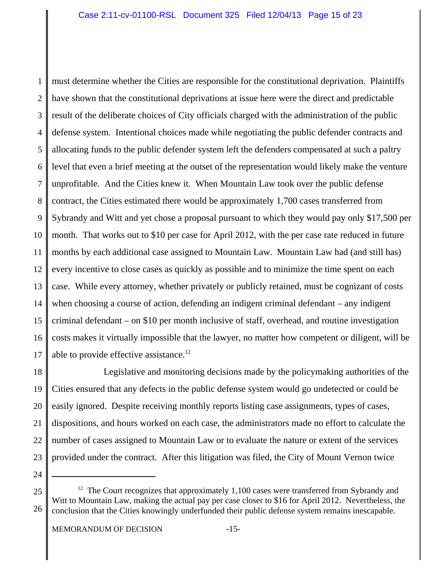1 2 3 4 5 6 7 8 9 10 11 12 13 14 15 16 17 must determine whether the Cities are responsible for the constitutional deprivation. Plaintiffs have shown that the constitutional deprivations at issue here were the direct and predictable result of the deliberate choices of City officials charged with the administration of the public defense system. Intentional choices made while negotiating the public defender contracts and allocating funds to the public defender system left the defenders compensated at such a paltry level that even a brief meeting at the outset of the representation would likely make the venture unprofitable. And the Cities knew it. When Mountain Law took over the public defense contract, the Cities estimated there would be approximately 1,700 cases transferred from Sybrandy and Witt and yet chose a proposal pursuant to which they would pay only \$17,500 per month. That works out to \$10 per case for April 2012, with the per case rate reduced in future months by each additional case assigned to Mountain Law. Mountain Law had (and still has) every incentive to close cases as quickly as possible and to minimize the time spent on each case. While every attorney, whether privately or publicly retained, must be cognizant of costs when choosing a course of action, defending an indigent criminal defendant – any indigent criminal defendant – on \$10 per month inclusive of staff, overhead, and routine investigation costs makes it virtually impossible that the lawyer, no matter how competent or diligent, will be able to provide effective assistance.<sup>12</sup>

18 19 20 21 22 23 Legislative and monitoring decisions made by the policymaking authorities of the Cities ensured that any defects in the public defense system would go undetected or could be easily ignored. Despite receiving monthly reports listing case assignments, types of cases, dispositions, and hours worked on each case, the administrators made no effort to calculate the number of cases assigned to Mountain Law or to evaluate the nature or extent of the services provided under the contract. After this litigation was filed, the City of Mount Vernon twice

<sup>25</sup> 26  $12$  The Court recognizes that approximately 1,100 cases were transferred from Sybrandy and Witt to Mountain Law, making the actual pay per case closer to \$16 for April 2012. Nevertheless, the conclusion that the Cities knowingly underfunded their public defense system remains inescapable.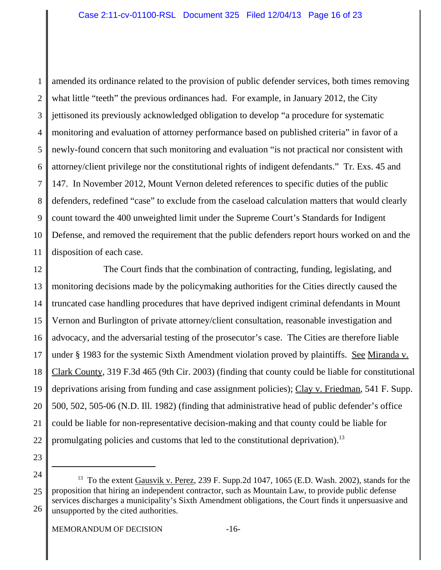1 2 3 4 5 6 7 8 9 10 11 amended its ordinance related to the provision of public defender services, both times removing what little "teeth" the previous ordinances had. For example, in January 2012, the City jettisoned its previously acknowledged obligation to develop "a procedure for systematic monitoring and evaluation of attorney performance based on published criteria" in favor of a newly-found concern that such monitoring and evaluation "is not practical nor consistent with attorney/client privilege nor the constitutional rights of indigent defendants." Tr. Exs. 45 and 147. In November 2012, Mount Vernon deleted references to specific duties of the public defenders, redefined "case" to exclude from the caseload calculation matters that would clearly count toward the 400 unweighted limit under the Supreme Court's Standards for Indigent Defense, and removed the requirement that the public defenders report hours worked on and the disposition of each case.

12 13 14 15 16 17 18 19 20 21 22 The Court finds that the combination of contracting, funding, legislating, and monitoring decisions made by the policymaking authorities for the Cities directly caused the truncated case handling procedures that have deprived indigent criminal defendants in Mount Vernon and Burlington of private attorney/client consultation, reasonable investigation and advocacy, and the adversarial testing of the prosecutor's case. The Cities are therefore liable under § 1983 for the systemic Sixth Amendment violation proved by plaintiffs. See Miranda v. Clark County, 319 F.3d 465 (9th Cir. 2003) (finding that county could be liable for constitutional deprivations arising from funding and case assignment policies); Clay v. Friedman, 541 F. Supp. 500, 502, 505-06 (N.D. Ill. 1982) (finding that administrative head of public defender's office could be liable for non-representative decision-making and that county could be liable for promulgating policies and customs that led to the constitutional deprivation).<sup>13</sup>

<sup>24</sup> 25 26 <sup>13</sup> To the extent Gausvik v. Perez, 239 F. Supp.2d 1047, 1065 (E.D. Wash. 2002), stands for the proposition that hiring an independent contractor, such as Mountain Law, to provide public defense services discharges a municipality's Sixth Amendment obligations, the Court finds it unpersuasive and unsupported by the cited authorities.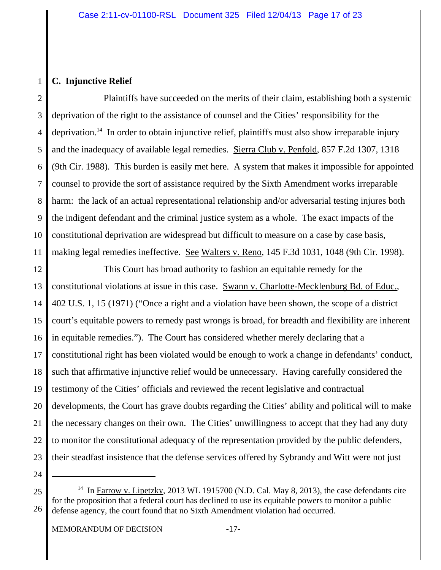## 1 **C. Injunctive Relief**

2 3 4 5 6 7 8 9 10 11 Plaintiffs have succeeded on the merits of their claim, establishing both a systemic deprivation of the right to the assistance of counsel and the Cities' responsibility for the deprivation.<sup>14</sup> In order to obtain injunctive relief, plaintiffs must also show irreparable injury and the inadequacy of available legal remedies. Sierra Club v. Penfold, 857 F.2d 1307, 1318 (9th Cir. 1988). This burden is easily met here. A system that makes it impossible for appointed counsel to provide the sort of assistance required by the Sixth Amendment works irreparable harm: the lack of an actual representational relationship and/or adversarial testing injures both the indigent defendant and the criminal justice system as a whole. The exact impacts of the constitutional deprivation are widespread but difficult to measure on a case by case basis, making legal remedies ineffective. See Walters v. Reno, 145 F.3d 1031, 1048 (9th Cir. 1998).

12 13 14 15 16 17 18 19 20 21 22 23 This Court has broad authority to fashion an equitable remedy for the constitutional violations at issue in this case. Swann v. Charlotte-Mecklenburg Bd. of Educ., 402 U.S. 1, 15 (1971) ("Once a right and a violation have been shown, the scope of a district court's equitable powers to remedy past wrongs is broad, for breadth and flexibility are inherent in equitable remedies."). The Court has considered whether merely declaring that a constitutional right has been violated would be enough to work a change in defendants' conduct, such that affirmative injunctive relief would be unnecessary. Having carefully considered the testimony of the Cities' officials and reviewed the recent legislative and contractual developments, the Court has grave doubts regarding the Cities' ability and political will to make the necessary changes on their own. The Cities' unwillingness to accept that they had any duty to monitor the constitutional adequacy of the representation provided by the public defenders, their steadfast insistence that the defense services offered by Sybrandy and Witt were not just

24

MEMORANDUM OF DECISION -17-

<sup>25</sup> 26 <sup>14</sup> In Farrow v. Lipetzky, 2013 WL 1915700 (N.D. Cal. May 8, 2013), the case defendants cite for the proposition that a federal court has declined to use its equitable powers to monitor a public defense agency, the court found that no Sixth Amendment violation had occurred.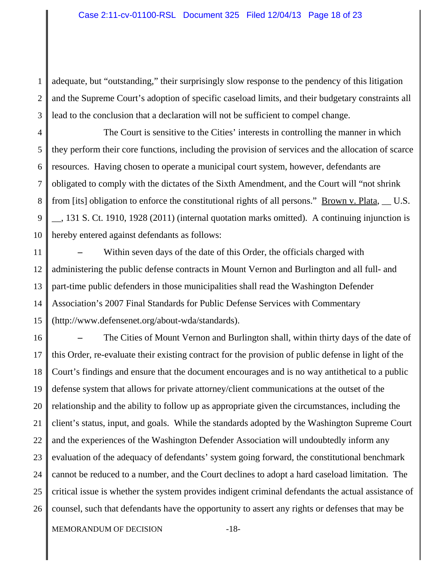1 2 3 adequate, but "outstanding," their surprisingly slow response to the pendency of this litigation and the Supreme Court's adoption of specific caseload limits, and their budgetary constraints all lead to the conclusion that a declaration will not be sufficient to compel change.

4 5 6 7 8 9 10 The Court is sensitive to the Cities' interests in controlling the manner in which they perform their core functions, including the provision of services and the allocation of scarce resources. Having chosen to operate a municipal court system, however, defendants are obligated to comply with the dictates of the Sixth Amendment, and the Court will "not shrink from [its] obligation to enforce the constitutional rights of all persons." <u>Brown v. Plata, \_\_</u> U.S. \_\_, 131 S. Ct. 1910, 1928 (2011) (internal quotation marks omitted). A continuing injunction is hereby entered against defendants as follows:

11 12 13 14 15 **–** Within seven days of the date of this Order, the officials charged with administering the public defense contracts in Mount Vernon and Burlington and all full- and part-time public defenders in those municipalities shall read the Washington Defender Association's 2007 Final Standards for Public Defense Services with Commentary (http://www.defensenet.org/about-wda/standards).

16 17 18 19 20 21 22 23 24 25 26 **–** The Cities of Mount Vernon and Burlington shall, within thirty days of the date of this Order, re-evaluate their existing contract for the provision of public defense in light of the Court's findings and ensure that the document encourages and is no way antithetical to a public defense system that allows for private attorney/client communications at the outset of the relationship and the ability to follow up as appropriate given the circumstances, including the client's status, input, and goals. While the standards adopted by the Washington Supreme Court and the experiences of the Washington Defender Association will undoubtedly inform any evaluation of the adequacy of defendants' system going forward, the constitutional benchmark cannot be reduced to a number, and the Court declines to adopt a hard caseload limitation. The critical issue is whether the system provides indigent criminal defendants the actual assistance of counsel, such that defendants have the opportunity to assert any rights or defenses that may be

MEMORANDUM OF DECISION -18-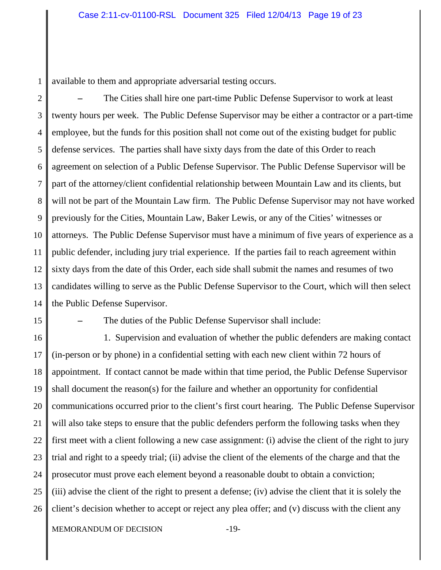1 available to them and appropriate adversarial testing occurs.

2 3 4 5 6 7 8 9 10 11 12 13 14 **–** The Cities shall hire one part-time Public Defense Supervisor to work at least twenty hours per week. The Public Defense Supervisor may be either a contractor or a part-time employee, but the funds for this position shall not come out of the existing budget for public defense services. The parties shall have sixty days from the date of this Order to reach agreement on selection of a Public Defense Supervisor. The Public Defense Supervisor will be part of the attorney/client confidential relationship between Mountain Law and its clients, but will not be part of the Mountain Law firm. The Public Defense Supervisor may not have worked previously for the Cities, Mountain Law, Baker Lewis, or any of the Cities' witnesses or attorneys. The Public Defense Supervisor must have a minimum of five years of experience as a public defender, including jury trial experience. If the parties fail to reach agreement within sixty days from the date of this Order, each side shall submit the names and resumes of two candidates willing to serve as the Public Defense Supervisor to the Court, which will then select the Public Defense Supervisor.

15

**–** The duties of the Public Defense Supervisor shall include:

16 17 18 19 20 21 22 23 24 25 26 1. Supervision and evaluation of whether the public defenders are making contact (in-person or by phone) in a confidential setting with each new client within 72 hours of appointment. If contact cannot be made within that time period, the Public Defense Supervisor shall document the reason(s) for the failure and whether an opportunity for confidential communications occurred prior to the client's first court hearing. The Public Defense Supervisor will also take steps to ensure that the public defenders perform the following tasks when they first meet with a client following a new case assignment: (i) advise the client of the right to jury trial and right to a speedy trial; (ii) advise the client of the elements of the charge and that the prosecutor must prove each element beyond a reasonable doubt to obtain a conviction; (iii) advise the client of the right to present a defense; (iv) advise the client that it is solely the client's decision whether to accept or reject any plea offer; and (v) discuss with the client any

MEMORANDUM OF DECISION -19-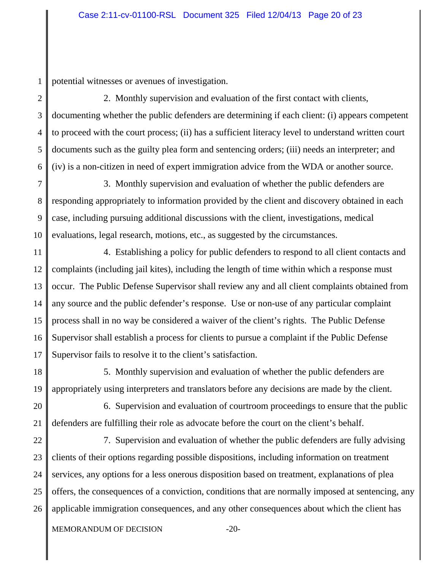1 potential witnesses or avenues of investigation.

2 3 4 5 6 2. Monthly supervision and evaluation of the first contact with clients, documenting whether the public defenders are determining if each client: (i) appears competent to proceed with the court process; (ii) has a sufficient literacy level to understand written court documents such as the guilty plea form and sentencing orders; (iii) needs an interpreter; and (iv) is a non-citizen in need of expert immigration advice from the WDA or another source.

7 8 9 10 3. Monthly supervision and evaluation of whether the public defenders are responding appropriately to information provided by the client and discovery obtained in each case, including pursuing additional discussions with the client, investigations, medical evaluations, legal research, motions, etc., as suggested by the circumstances.

11 12 13 14 15 16 17 4. Establishing a policy for public defenders to respond to all client contacts and complaints (including jail kites), including the length of time within which a response must occur. The Public Defense Supervisor shall review any and all client complaints obtained from any source and the public defender's response. Use or non-use of any particular complaint process shall in no way be considered a waiver of the client's rights. The Public Defense Supervisor shall establish a process for clients to pursue a complaint if the Public Defense Supervisor fails to resolve it to the client's satisfaction.

18 19 5. Monthly supervision and evaluation of whether the public defenders are appropriately using interpreters and translators before any decisions are made by the client.

20 21 6. Supervision and evaluation of courtroom proceedings to ensure that the public defenders are fulfilling their role as advocate before the court on the client's behalf.

22 23 24 25 26 7. Supervision and evaluation of whether the public defenders are fully advising clients of their options regarding possible dispositions, including information on treatment services, any options for a less onerous disposition based on treatment, explanations of plea offers, the consequences of a conviction, conditions that are normally imposed at sentencing, any applicable immigration consequences, and any other consequences about which the client has

MEMORANDUM OF DECISION -20-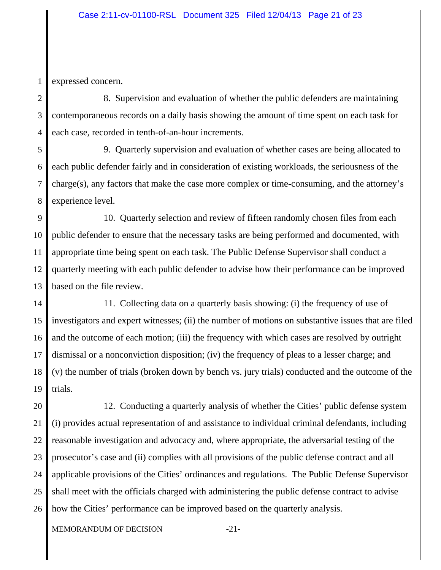1 expressed concern.

2 3 4 8. Supervision and evaluation of whether the public defenders are maintaining contemporaneous records on a daily basis showing the amount of time spent on each task for each case, recorded in tenth-of-an-hour increments.

5 6 7 8 9. Quarterly supervision and evaluation of whether cases are being allocated to each public defender fairly and in consideration of existing workloads, the seriousness of the charge(s), any factors that make the case more complex or time-consuming, and the attorney's experience level.

9 10 11 12 13 10. Quarterly selection and review of fifteen randomly chosen files from each public defender to ensure that the necessary tasks are being performed and documented, with appropriate time being spent on each task. The Public Defense Supervisor shall conduct a quarterly meeting with each public defender to advise how their performance can be improved based on the file review.

14 15 16 17 18 19 11. Collecting data on a quarterly basis showing: (i) the frequency of use of investigators and expert witnesses; (ii) the number of motions on substantive issues that are filed and the outcome of each motion; (iii) the frequency with which cases are resolved by outright dismissal or a nonconviction disposition; (iv) the frequency of pleas to a lesser charge; and (v) the number of trials (broken down by bench vs. jury trials) conducted and the outcome of the trials.

20 21 22 23 24 25 26 12. Conducting a quarterly analysis of whether the Cities' public defense system (i) provides actual representation of and assistance to individual criminal defendants, including reasonable investigation and advocacy and, where appropriate, the adversarial testing of the prosecutor's case and (ii) complies with all provisions of the public defense contract and all applicable provisions of the Cities' ordinances and regulations. The Public Defense Supervisor shall meet with the officials charged with administering the public defense contract to advise how the Cities' performance can be improved based on the quarterly analysis.

MEMORANDUM OF DECISION -21-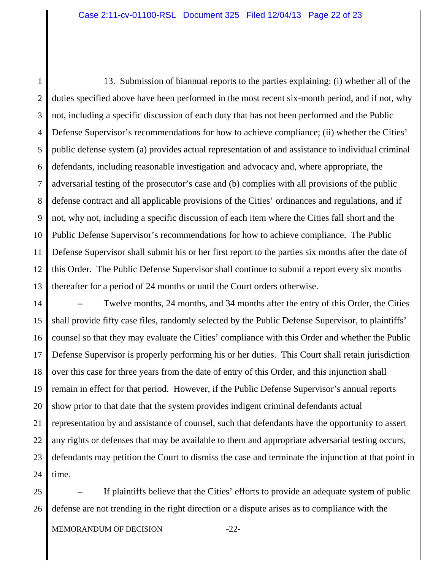1 2 3 4 5 6 7 8 9 10 11 12 13 13. Submission of biannual reports to the parties explaining: (i) whether all of the duties specified above have been performed in the most recent six-month period, and if not, why not, including a specific discussion of each duty that has not been performed and the Public Defense Supervisor's recommendations for how to achieve compliance; (ii) whether the Cities' public defense system (a) provides actual representation of and assistance to individual criminal defendants, including reasonable investigation and advocacy and, where appropriate, the adversarial testing of the prosecutor's case and (b) complies with all provisions of the public defense contract and all applicable provisions of the Cities' ordinances and regulations, and if not, why not, including a specific discussion of each item where the Cities fall short and the Public Defense Supervisor's recommendations for how to achieve compliance. The Public Defense Supervisor shall submit his or her first report to the parties six months after the date of this Order. The Public Defense Supervisor shall continue to submit a report every six months thereafter for a period of 24 months or until the Court orders otherwise.

14 15 16 17 18 19 20 21 22 23 24 **–** Twelve months, 24 months, and 34 months after the entry of this Order, the Cities shall provide fifty case files, randomly selected by the Public Defense Supervisor, to plaintiffs' counsel so that they may evaluate the Cities' compliance with this Order and whether the Public Defense Supervisor is properly performing his or her duties. This Court shall retain jurisdiction over this case for three years from the date of entry of this Order, and this injunction shall remain in effect for that period. However, if the Public Defense Supervisor's annual reports show prior to that date that the system provides indigent criminal defendants actual representation by and assistance of counsel, such that defendants have the opportunity to assert any rights or defenses that may be available to them and appropriate adversarial testing occurs, defendants may petition the Court to dismiss the case and terminate the injunction at that point in time.

25 26 **–** If plaintiffs believe that the Cities' efforts to provide an adequate system of public defense are not trending in the right direction or a dispute arises as to compliance with the

MEMORANDUM OF DECISION -22-